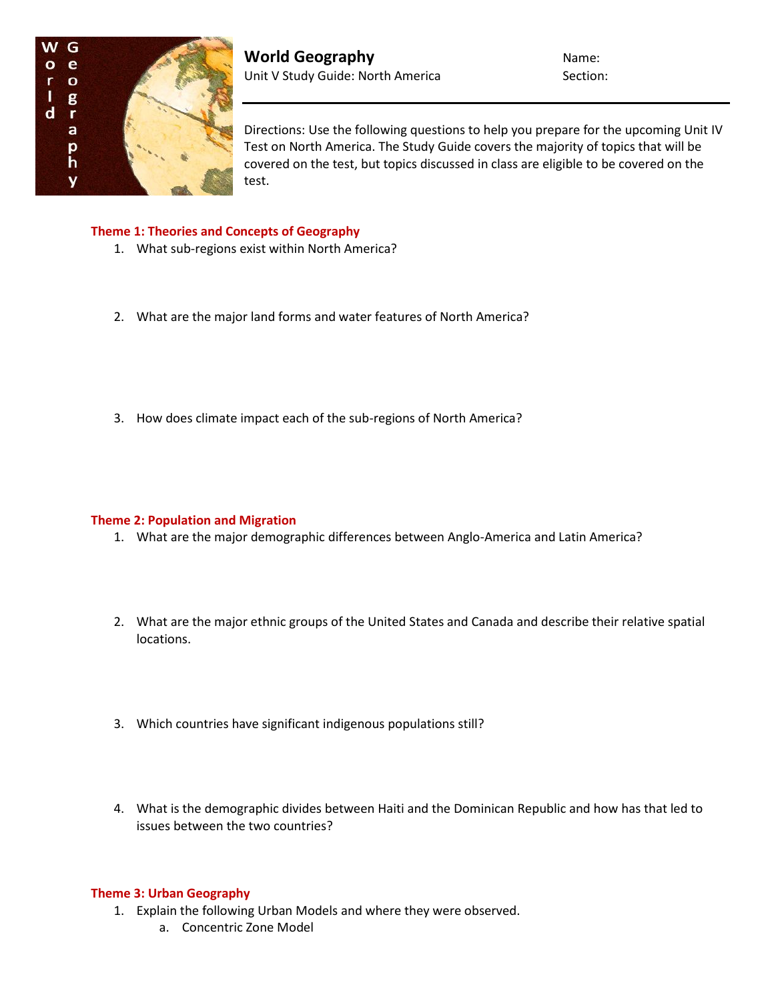

**World Geography** Name: Unit V Study Guide: North America Section:

Directions: Use the following questions to help you prepare for the upcoming Unit IV Test on North America. The Study Guide covers the majority of topics that will be covered on the test, but topics discussed in class are eligible to be covered on the test.

### **Theme 1: Theories and Concepts of Geography**

- 1. What sub-regions exist within North America?
- 2. What are the major land forms and water features of North America?
- 3. How does climate impact each of the sub-regions of North America?

# **Theme 2: Population and Migration**

- 1. What are the major demographic differences between Anglo-America and Latin America?
- 2. What are the major ethnic groups of the United States and Canada and describe their relative spatial locations.
- 3. Which countries have significant indigenous populations still?
- 4. What is the demographic divides between Haiti and the Dominican Republic and how has that led to issues between the two countries?

# **Theme 3: Urban Geography**

- 1. Explain the following Urban Models and where they were observed.
	- a. Concentric Zone Model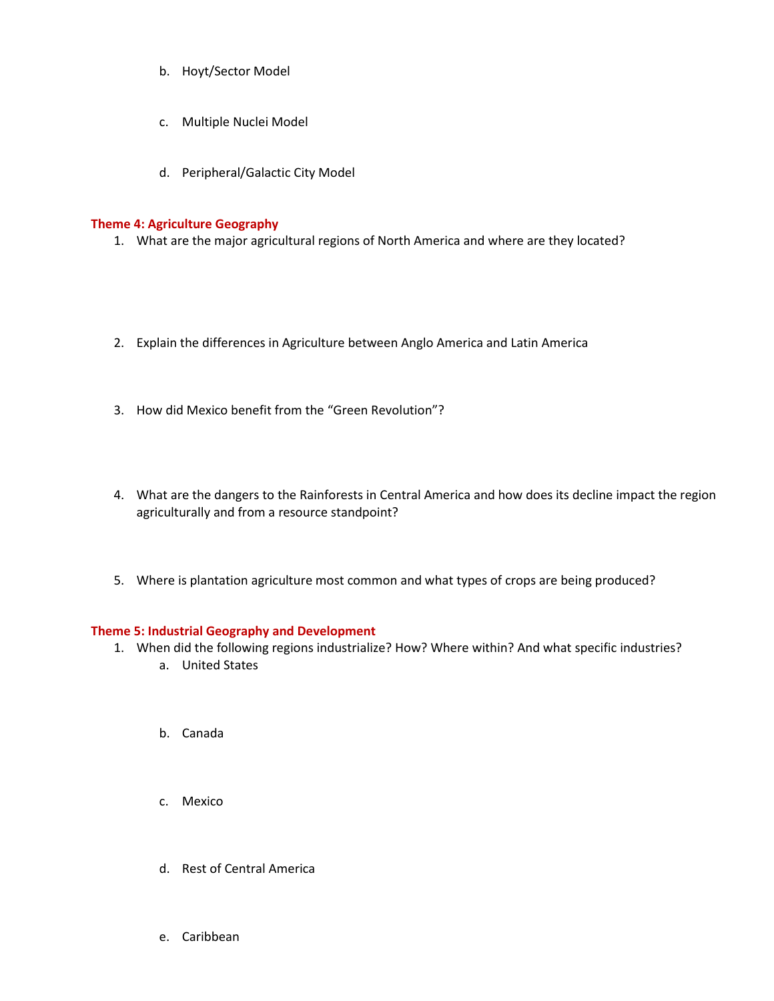- b. Hoyt/Sector Model
- c. Multiple Nuclei Model
- d. Peripheral/Galactic City Model

# **Theme 4: Agriculture Geography**

- 1. What are the major agricultural regions of North America and where are they located?
- 2. Explain the differences in Agriculture between Anglo America and Latin America
- 3. How did Mexico benefit from the "Green Revolution"?
- 4. What are the dangers to the Rainforests in Central America and how does its decline impact the region agriculturally and from a resource standpoint?
- 5. Where is plantation agriculture most common and what types of crops are being produced?

#### **Theme 5: Industrial Geography and Development**

- 1. When did the following regions industrialize? How? Where within? And what specific industries?
	- a. United States
	- b. Canada
	- c. Mexico
	- d. Rest of Central America
	- e. Caribbean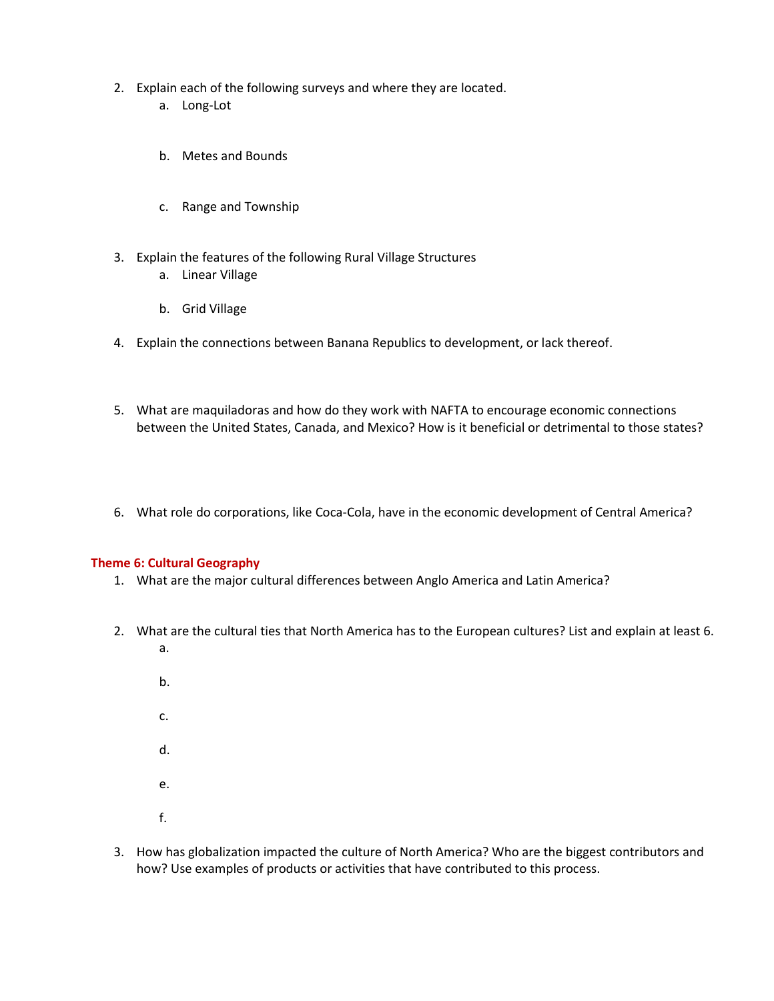- 2. Explain each of the following surveys and where they are located.
	- a. Long-Lot
	- b. Metes and Bounds
	- c. Range and Township
- 3. Explain the features of the following Rural Village Structures
	- a. Linear Village
	- b. Grid Village
- 4. Explain the connections between Banana Republics to development, or lack thereof.
- 5. What are maquiladoras and how do they work with NAFTA to encourage economic connections between the United States, Canada, and Mexico? How is it beneficial or detrimental to those states?
- 6. What role do corporations, like Coca-Cola, have in the economic development of Central America?

#### **Theme 6: Cultural Geography**

- 1. What are the major cultural differences between Anglo America and Latin America?
- 2. What are the cultural ties that North America has to the European cultures? List and explain at least 6. a.
	- b. c. d. e. f.
- 3. How has globalization impacted the culture of North America? Who are the biggest contributors and how? Use examples of products or activities that have contributed to this process.